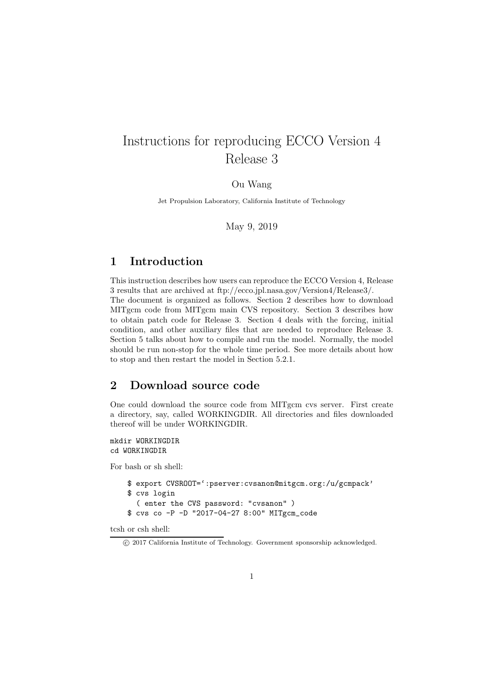# Instructions for reproducing ECCO Version 4 Release 3

Ou Wang

Jet Propulsion Laboratory, California Institute of Technology

May 9, 2019

### 1 Introduction

This instruction describes how users can reproduce the ECCO Version 4, Release 3 results that are archived at ftp://ecco.jpl.nasa.gov/Version4/Release3/. The document is organized as follows. Section 2 describes how to download MITgcm code from MITgcm main CVS repository. Section 3 describes how to obtain patch code for Release 3. Section 4 deals with the forcing, initial condition, and other auxiliary files that are needed to reproduce Release 3. Section 5 talks about how to compile and run the model. Normally, the model should be run non-stop for the whole time period. See more details about how to stop and then restart the model in Section 5.2.1.

### 2 Download source code

One could download the source code from MITgcm cvs server. First create a directory, say, called WORKINGDIR. All directories and files downloaded thereof will be under WORKINGDIR.

mkdir WORKINGDIR cd WORKINGDIR

For bash or sh shell:

```
$ export CVSROOT=':pserver:cvsanon@mitgcm.org:/u/gcmpack'
$ cvs login
  ( enter the CVS password: "cvsanon" )
$ cvs co -P -D "2017-04-27 8:00" MITgcm_code
```
tcsh or csh shell:

c 2017 California Institute of Technology. Government sponsorship acknowledged.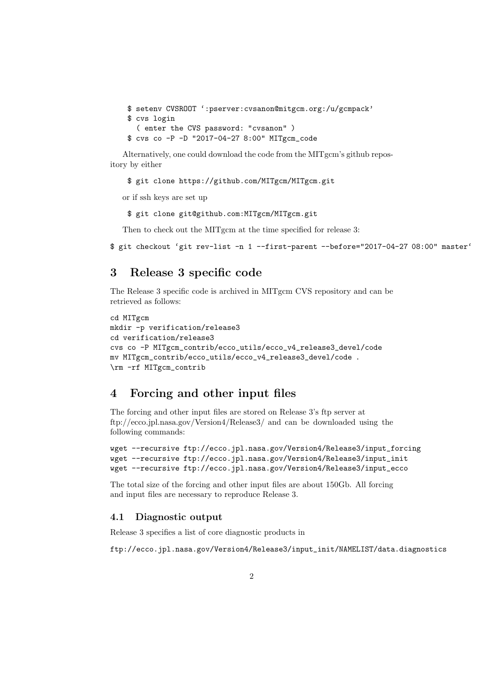```
$ setenv CVSROOT ':pserver:cvsanon@mitgcm.org:/u/gcmpack'
$ cvs login
  ( enter the CVS password: "cvsanon" )
$ cvs co -P -D "2017-04-27 8:00" MITgcm_code
```
Alternatively, one could download the code from the MITgcm's github repository by either

\$ git clone https://github.com/MITgcm/MITgcm.git

or if ssh keys are set up

\$ git clone git@github.com:MITgcm/MITgcm.git

Then to check out the MITgcm at the time specified for release 3:

\$ git checkout 'git rev-list -n 1 --first-parent --before="2017-04-27 08:00" master'

### 3 Release 3 specific code

The Release 3 specific code is archived in MITgcm CVS repository and can be retrieved as follows:

```
cd MITgcm
mkdir -p verification/release3
cd verification/release3
cvs co -P MITgcm_contrib/ecco_utils/ecco_v4_release3_devel/code
mv MITgcm_contrib/ecco_utils/ecco_v4_release3_devel/code .
\rm -rf MITgcm_contrib
```
### 4 Forcing and other input files

The forcing and other input files are stored on Release 3's ftp server at ftp://ecco.jpl.nasa.gov/Version4/Release3/ and can be downloaded using the following commands:

```
wget --recursive ftp://ecco.jpl.nasa.gov/Version4/Release3/input_forcing
wget --recursive ftp://ecco.jpl.nasa.gov/Version4/Release3/input_init
wget --recursive ftp://ecco.jpl.nasa.gov/Version4/Release3/input_ecco
```
The total size of the forcing and other input files are about 150Gb. All forcing and input files are necessary to reproduce Release 3.

#### 4.1 Diagnostic output

Release 3 specifies a list of core diagnostic products in

ftp://ecco.jpl.nasa.gov/Version4/Release3/input\_init/NAMELIST/data.diagnostics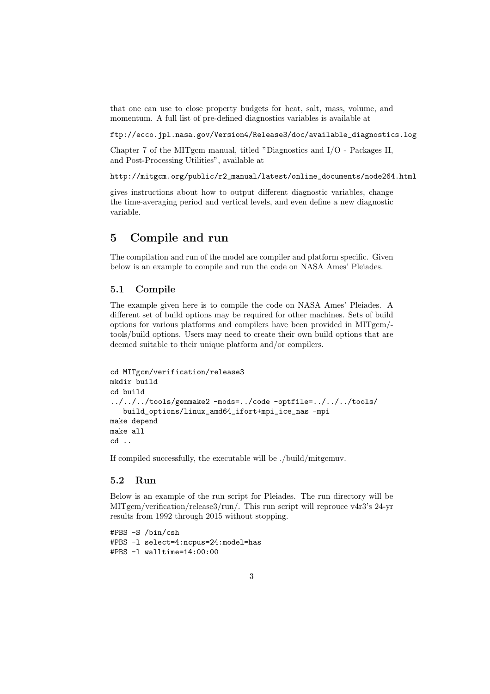that one can use to close property budgets for heat, salt, mass, volume, and momentum. A full list of pre-defined diagnostics variables is available at

ftp://ecco.jpl.nasa.gov/Version4/Release3/doc/available\_diagnostics.log

Chapter 7 of the MITgcm manual, titled "Diagnostics and I/O - Packages II, and Post-Processing Utilities", available at

http://mitgcm.org/public/r2\_manual/latest/online\_documents/node264.html

gives instructions about how to output different diagnostic variables, change the time-averaging period and vertical levels, and even define a new diagnostic variable.

### 5 Compile and run

The compilation and run of the model are compiler and platform specific. Given below is an example to compile and run the code on NASA Ames' Pleiades.

#### 5.1 Compile

The example given here is to compile the code on NASA Ames' Pleiades. A different set of build options may be required for other machines. Sets of build options for various platforms and compilers have been provided in MITgcm/ tools/build options. Users may need to create their own build options that are deemed suitable to their unique platform and/or compilers.

```
cd MITgcm/verification/release3
mkdir build
cd build
../../../tools/genmake2 -mods=../code -optfile=../../../tools/
   build_options/linux_amd64_ifort+mpi_ice_nas -mpi
make depend
make all
cd ..
```
If compiled successfully, the executable will be ./build/mitgcmuv.

#### 5.2 Run

Below is an example of the run script for Pleiades. The run directory will be MITgcm/verification/release3/run/. This run script will reprouce v4r3's 24-yr results from 1992 through 2015 without stopping.

#PBS -S /bin/csh #PBS -l select=4:ncpus=24:model=has #PBS -l walltime=14:00:00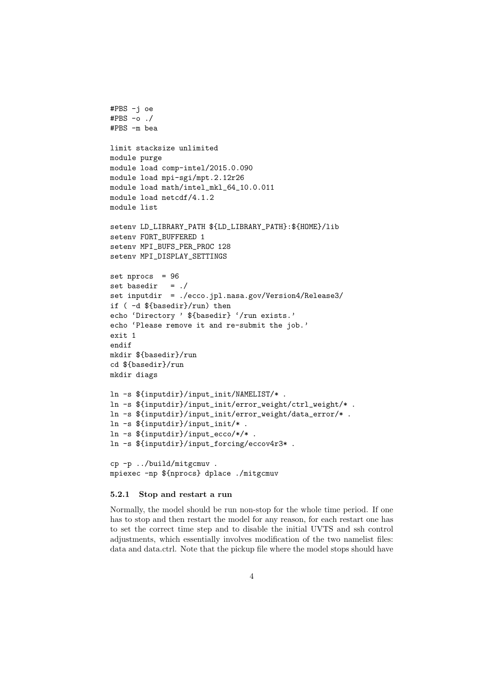```
#PBS -j oe
#PBS -o ./
#PBS -m bea
limit stacksize unlimited
module purge
module load comp-intel/2015.0.090
module load mpi-sgi/mpt.2.12r26
module load math/intel_mkl_64_10.0.011
module load netcdf/4.1.2
module list
setenv LD_LIBRARY_PATH ${LD_LIBRARY_PATH}:${HOME}/lib
setenv FORT_BUFFERED 1
setenv MPI_BUFS_PER_PROC 128
setenv MPI_DISPLAY_SETTINGS
set nprocs = 96
set basedir = ./set inputdir = ./ecco.jpl.nasa.gov/Version4/Release3/
if ( -d ${basedir}/run) then
echo 'Directory ' ${basedir} '/run exists.'
echo 'Please remove it and re-submit the job.'
exit 1
endif
mkdir ${basedir}/run
cd ${basedir}/run
mkdir diags
ln -s ${inputdir}/input_init/NAMELIST/* .
ln -s ${inputdir}/input_init/error_weight/ctrl_weight/* .
ln -s ${inputdir}/input_init/error_weight/data_error/* .
ln -s ${inputdir}/input_init/* .
ln -s ${inputdir}/input_ecco/*/* .
ln -s ${inputdir}/input_forcing/eccov4r3* .
cp -p ../build/mitgcmuv .
mpiexec -np ${nprocs} dplace ./mitgcmuv
```
#### 5.2.1 Stop and restart a run

Normally, the model should be run non-stop for the whole time period. If one has to stop and then restart the model for any reason, for each restart one has to set the correct time step and to disable the initial UVTS and ssh control adjustments, which essentially involves modification of the two namelist files: data and data.ctrl. Note that the pickup file where the model stops should have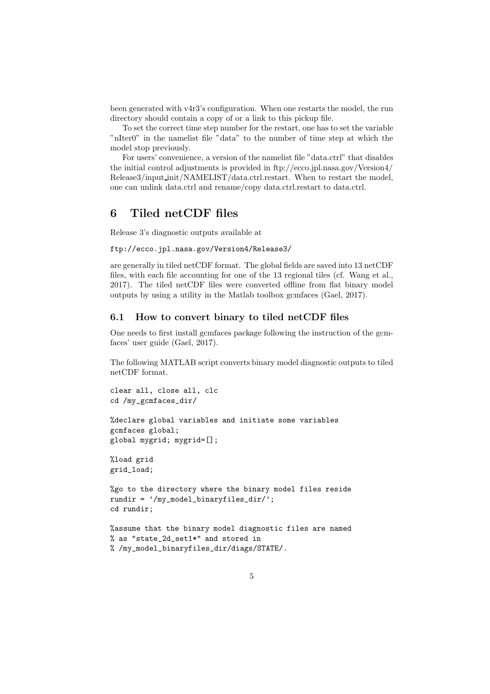been generated with v4r3's configuration. When one restarts the model, the run directory should contain a copy of or a link to this pickup file.

To set the correct time step number for the restart, one has to set the variable "nIter0" in the namelist file "data" to the number of time step at which the model stop previously.

For users' convenience, a version of the namelist file "data.ctrl" that disables the initial control adjustments is provided in ftp://ecco.jpl.nasa.gov/Version4/ Release3/input\_init/NAMELIST/data.ctrl.restart. When to restart the model, one can unlink data.ctrl and rename/copy data.ctrl.restart to data.ctrl.

### 6 Tiled netCDF files

Release 3's diagnostic outputs available at

ftp://ecco.jpl.nasa.gov/Version4/Release3/

are generally in tiled netCDF format. The global fields are saved into 13 netCDF files, with each file accounting for one of the 13 regional tiles (cf. Wang et al., 2017). The tiled netCDF files were converted offline from flat binary model outputs by using a utility in the Matlab toolbox gcmfaces (Gael, 2017).

### 6.1 How to convert binary to tiled netCDF files

One needs to first install gcmfaces package following the instruction of the gcmfaces' user guide (Gael, 2017).

The following MATLAB script converts binary model diagnostic outputs to tiled netCDF format.

```
clear all, close all, clc
cd /my_gcmfaces_dir/
```

```
%declare global variables and initiate some variables
gcmfaces global;
global mygrid; mygrid=[];
```
%load grid grid\_load;

```
%go to the directory where the binary model files reside
rundir = '/my_model_binaryfiles_dir/';
cd rundir;
```

```
%assume that the binary model diagnostic files are named
% as "state_2d_set1*" and stored in
% /my_model_binaryfiles_dir/diags/STATE/.
```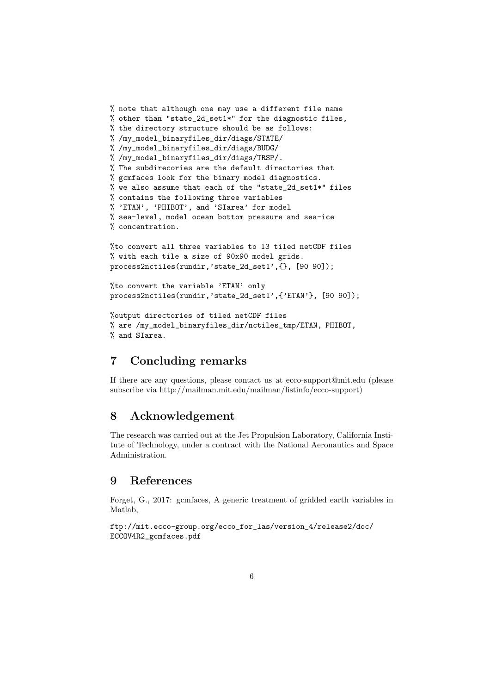```
% note that although one may use a different file name
% other than "state_2d_set1*" for the diagnostic files,
% the directory structure should be as follows:
% /my_model_binaryfiles_dir/diags/STATE/
% /my_model_binaryfiles_dir/diags/BUDG/
% /my_model_binaryfiles_dir/diags/TRSP/.
% The subdirecories are the default directories that
% gcmfaces look for the binary model diagnostics.
% we also assume that each of the "state_2d_set1*" files
% contains the following three variables
% 'ETAN', 'PHIBOT', and 'SIarea' for model
% sea-level, model ocean bottom pressure and sea-ice
% concentration.
```
%to convert all three variables to 13 tiled netCDF files % with each tile a size of 90x90 model grids. process2nctiles(rundir,'state\_2d\_set1',{}, [90 90]);

```
%to convert the variable 'ETAN' only
process2nctiles(rundir,'state_2d_set1',{'ETAN'}, [90 90]);
```

```
%output directories of tiled netCDF files
% are /my_model_binaryfiles_dir/nctiles_tmp/ETAN, PHIBOT,
% and SIarea.
```
## 7 Concluding remarks

If there are any questions, please contact us at ecco-support@mit.edu (please subscribe via http://mailman.mit.edu/mailman/listinfo/ecco-support)

### 8 Acknowledgement

The research was carried out at the Jet Propulsion Laboratory, California Institute of Technology, under a contract with the National Aeronautics and Space Administration.

### 9 References

Forget, G., 2017: gcmfaces, A generic treatment of gridded earth variables in Matlab,

ftp://mit.ecco-group.org/ecco\_for\_las/version\_4/release2/doc/ ECCOV4R2\_gcmfaces.pdf